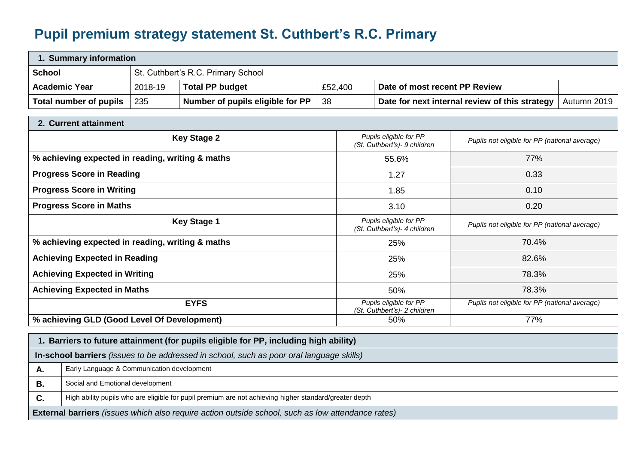## **Pupil premium strategy statement St. Cuthbert's R.C. Primary**

| 1. Summary information                                                                                                                                                      |         |                                  |         |       |                                                                                                          |                                               |             |  |
|-----------------------------------------------------------------------------------------------------------------------------------------------------------------------------|---------|----------------------------------|---------|-------|----------------------------------------------------------------------------------------------------------|-----------------------------------------------|-------------|--|
| <b>School</b><br>St. Cuthbert's R.C. Primary School                                                                                                                         |         |                                  |         |       |                                                                                                          |                                               |             |  |
| <b>Academic Year</b>                                                                                                                                                        | 2018-19 | <b>Total PP budget</b>           | £52,400 |       | Date of most recent PP Review                                                                            |                                               |             |  |
| <b>Total number of pupils</b>                                                                                                                                               | 235     | Number of pupils eligible for PP | 38      |       | Date for next internal review of this strategy                                                           |                                               | Autumn 2019 |  |
| 2. Current attainment                                                                                                                                                       |         |                                  |         |       |                                                                                                          |                                               |             |  |
| <b>Key Stage 2</b>                                                                                                                                                          |         |                                  |         |       | Pupils eligible for PP<br>Pupils not eligible for PP (national average)<br>(St. Cuthbert's) - 9 children |                                               |             |  |
| % achieving expected in reading, writing & maths                                                                                                                            |         |                                  |         | 55.6% |                                                                                                          | 77%                                           |             |  |
| <b>Progress Score in Reading</b>                                                                                                                                            |         |                                  |         | 1.27  |                                                                                                          | 0.33                                          |             |  |
| <b>Progress Score in Writing</b>                                                                                                                                            |         |                                  |         | 1.85  |                                                                                                          | 0.10                                          |             |  |
| <b>Progress Score in Maths</b>                                                                                                                                              |         |                                  |         |       | 0.20<br>3.10                                                                                             |                                               |             |  |
| <b>Key Stage 1</b>                                                                                                                                                          |         |                                  |         |       | Pupils eligible for PP<br>(St. Cuthbert's) - 4 children                                                  | Pupils not eligible for PP (national average) |             |  |
| % achieving expected in reading, writing & maths                                                                                                                            |         |                                  |         |       | 70.4%<br>25%                                                                                             |                                               |             |  |
| <b>Achieving Expected in Reading</b>                                                                                                                                        |         |                                  |         |       | 82.6%<br>25%                                                                                             |                                               |             |  |
| <b>Achieving Expected in Writing</b>                                                                                                                                        |         |                                  |         |       | 78.3%<br>25%                                                                                             |                                               |             |  |
| <b>Achieving Expected in Maths</b>                                                                                                                                          |         |                                  |         |       | 78.3%<br>50%                                                                                             |                                               |             |  |
| <b>EYFS</b>                                                                                                                                                                 |         |                                  |         |       | Pupils eligible for PP<br>(St. Cuthbert's) - 2 children                                                  | Pupils not eligible for PP (national average) |             |  |
| % achieving GLD (Good Level Of Development)                                                                                                                                 |         |                                  |         |       | 50%                                                                                                      | 77%                                           |             |  |
| $\mathbf{r} = \mathbf{r} + \mathbf{r}$ , $\mathbf{r} = \mathbf{r} + \mathbf{r}$ , $\mathbf{r} = \mathbf{r} + \mathbf{r}$ , $\mathbf{r} = \mathbf{r} + \mathbf{r}$<br>.<br>. |         |                                  |         |       |                                                                                                          |                                               |             |  |

|                                                                                                          | Barriers to future attainment (for pupils eligible for PP, including high ability)                     |  |  |  |  |
|----------------------------------------------------------------------------------------------------------|--------------------------------------------------------------------------------------------------------|--|--|--|--|
| In-school barriers (issues to be addressed in school, such as poor oral language skills)                 |                                                                                                        |  |  |  |  |
| А.                                                                                                       | Early Language & Communication development                                                             |  |  |  |  |
| В.                                                                                                       | Social and Emotional development                                                                       |  |  |  |  |
| <b>C.</b>                                                                                                | High ability pupils who are eligible for pupil premium are not achieving higher standard/greater depth |  |  |  |  |
| <b>External barriers</b> (issues which also require action outside school, such as low attendance rates) |                                                                                                        |  |  |  |  |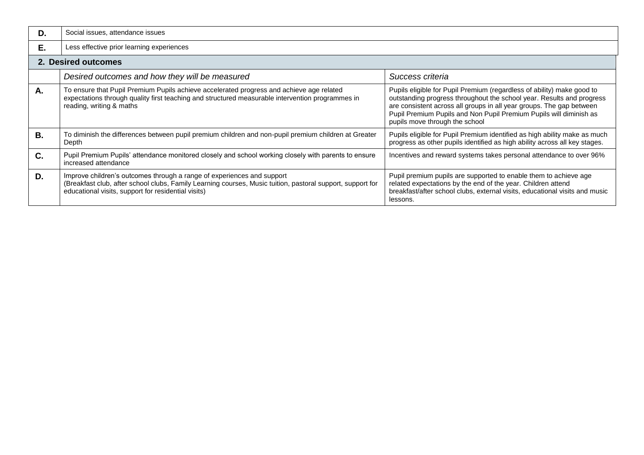| D. | Social issues, attendance issues                                                                                                                                                                                                            |                                                                                                                                                                                                                                                                                                                                 |  |  |  |  |
|----|---------------------------------------------------------------------------------------------------------------------------------------------------------------------------------------------------------------------------------------------|---------------------------------------------------------------------------------------------------------------------------------------------------------------------------------------------------------------------------------------------------------------------------------------------------------------------------------|--|--|--|--|
| E. | Less effective prior learning experiences                                                                                                                                                                                                   |                                                                                                                                                                                                                                                                                                                                 |  |  |  |  |
|    | 2. Desired outcomes                                                                                                                                                                                                                         |                                                                                                                                                                                                                                                                                                                                 |  |  |  |  |
|    | Desired outcomes and how they will be measured                                                                                                                                                                                              | Success criteria                                                                                                                                                                                                                                                                                                                |  |  |  |  |
| Α. | To ensure that Pupil Premium Pupils achieve accelerated progress and achieve age related<br>expectations through quality first teaching and structured measurable intervention programmes in<br>reading, writing & maths                    | Pupils eligible for Pupil Premium (regardless of ability) make good to<br>outstanding progress throughout the school year. Results and progress<br>are consistent across all groups in all year groups. The gap between<br>Pupil Premium Pupils and Non Pupil Premium Pupils will diminish as<br>pupils move through the school |  |  |  |  |
| В. | To diminish the differences between pupil premium children and non-pupil premium children at Greater<br>Depth                                                                                                                               | Pupils eligible for Pupil Premium identified as high ability make as much<br>progress as other pupils identified as high ability across all key stages.                                                                                                                                                                         |  |  |  |  |
| C. | Pupil Premium Pupils' attendance monitored closely and school working closely with parents to ensure<br>increased attendance                                                                                                                | Incentives and reward systems takes personal attendance to over 96%                                                                                                                                                                                                                                                             |  |  |  |  |
| D. | Improve children's outcomes through a range of experiences and support<br>(Breakfast club, after school clubs, Family Learning courses, Music tuition, pastoral support, support for<br>educational visits, support for residential visits) | Pupil premium pupils are supported to enable them to achieve age<br>related expectations by the end of the year. Children attend<br>breakfast/after school clubs, external visits, educational visits and music<br>lessons.                                                                                                     |  |  |  |  |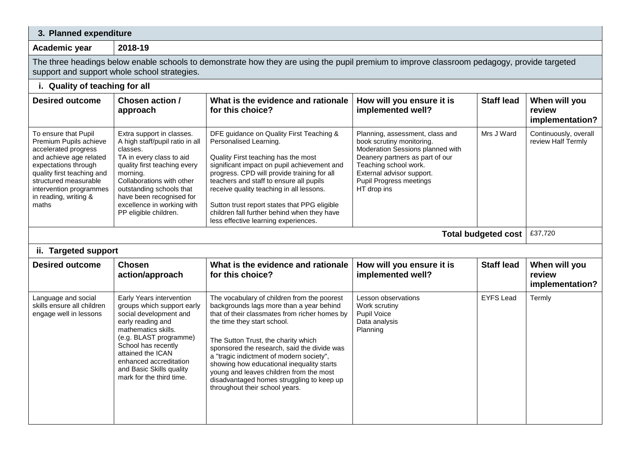## **3. Planned expenditure**

**Academic year 2018-19**

The three headings below enable schools to demonstrate how they are using the pupil premium to improve classroom pedagogy, provide targeted support and support whole school strategies.

## **i. Quality of teaching for all**

| <b>Desired outcome</b>                                                                                                                                                                                                                                                                                                                                                                                                                                                                                                                        | Chosen action /<br>approach                                                                                                                                                                        | What is the evidence and rationale<br>for this choice?                                                                                                                                                                                                                                                                                                                                                                                | How will you ensure it is<br>implemented well?                                                                                                                                                                                             | <b>Staff lead</b> | When will you<br>review<br>implementation?  |  |
|-----------------------------------------------------------------------------------------------------------------------------------------------------------------------------------------------------------------------------------------------------------------------------------------------------------------------------------------------------------------------------------------------------------------------------------------------------------------------------------------------------------------------------------------------|----------------------------------------------------------------------------------------------------------------------------------------------------------------------------------------------------|---------------------------------------------------------------------------------------------------------------------------------------------------------------------------------------------------------------------------------------------------------------------------------------------------------------------------------------------------------------------------------------------------------------------------------------|--------------------------------------------------------------------------------------------------------------------------------------------------------------------------------------------------------------------------------------------|-------------------|---------------------------------------------|--|
| To ensure that Pupil<br>Extra support in classes.<br>Premium Pupils achieve<br>A high staff/pupil ratio in all<br>accelerated progress<br>classes.<br>TA in every class to aid<br>and achieve age related<br>quality first teaching every<br>expectations through<br>quality first teaching and<br>morning.<br>Collaborations with other<br>structured measurable<br>outstanding schools that<br>intervention programmes<br>in reading, writing &<br>have been recognised for<br>maths<br>excellence in working with<br>PP eligible children. |                                                                                                                                                                                                    | DFE guidance on Quality First Teaching &<br>Personalised Learning.<br>Quality First teaching has the most<br>significant impact on pupil achievement and<br>progress. CPD will provide training for all<br>teachers and staff to ensure all pupils<br>receive quality teaching in all lessons.<br>Sutton trust report states that PPG eligible<br>children fall further behind when they have<br>less effective learning experiences. | Planning, assessment, class and<br>book scrutiny monitoring.<br>Moderation Sessions planned with<br>Deanery partners as part of our<br>Teaching school work.<br>External advisor support.<br><b>Pupil Progress meetings</b><br>HT drop ins | Mrs J Ward        | Continuously, overall<br>review Half Termly |  |
| £37,720<br><b>Total budgeted cost</b>                                                                                                                                                                                                                                                                                                                                                                                                                                                                                                         |                                                                                                                                                                                                    |                                                                                                                                                                                                                                                                                                                                                                                                                                       |                                                                                                                                                                                                                                            |                   |                                             |  |
| ii. Targeted support                                                                                                                                                                                                                                                                                                                                                                                                                                                                                                                          |                                                                                                                                                                                                    |                                                                                                                                                                                                                                                                                                                                                                                                                                       |                                                                                                                                                                                                                                            |                   |                                             |  |
| <b>Desired outcome</b>                                                                                                                                                                                                                                                                                                                                                                                                                                                                                                                        | <b>Chosen</b><br>action/approach                                                                                                                                                                   | What is the evidence and rationale<br>for this choice?                                                                                                                                                                                                                                                                                                                                                                                | How will you ensure it is<br>implemented well?                                                                                                                                                                                             | <b>Staff lead</b> | When will you<br>review<br>implementation?  |  |
| Language and social<br>skills ensure all children<br>engage well in lessons                                                                                                                                                                                                                                                                                                                                                                                                                                                                   | Early Years intervention<br>groups which support early<br>social development and<br>early reading and<br>mathematics skills.<br>(e.g. BLAST programme)<br>School has recently<br>attained the ICAN | The vocabulary of children from the poorest<br>backgrounds lags more than a year behind<br>that of their classmates from richer homes by<br>the time they start school.<br>The Sutton Trust, the charity which<br>sponsored the research, said the divide was<br>a "tragic indictment of modern society",                                                                                                                             | Lesson observations<br>Work scrutiny<br>Pupil Voice<br>Data analysis<br>Planning                                                                                                                                                           | <b>EYFS Lead</b>  | Termly                                      |  |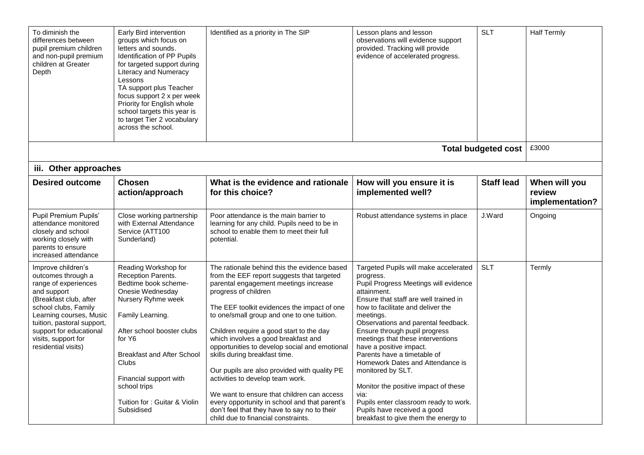| To diminish the<br>differences between<br>pupil premium children<br>and non-pupil premium<br>children at Greater<br>Depth                                                                                                                                           | Early Bird intervention<br>groups which focus on<br>letters and sounds.<br>Identification of PP Pupils<br>for targeted support during<br>Literacy and Numeracy<br>Lessons<br>TA support plus Teacher<br>focus support 2 x per week<br>Priority for English whole<br>school targets this year is<br>to target Tier 2 vocabulary<br>across the school. | Identified as a priority in The SIP                                                                                                                                                                                                                                                                                                                                                                                                                                                                                                                                                                                                                                                                     | Lesson plans and lesson<br>observations will evidence support<br>provided. Tracking will provide<br>evidence of accelerated progress.                                                                                                                                                                                                                                                                                                                                                                                                                                                                 | <b>SLT</b>                 | <b>Half Termly</b>                         |
|---------------------------------------------------------------------------------------------------------------------------------------------------------------------------------------------------------------------------------------------------------------------|------------------------------------------------------------------------------------------------------------------------------------------------------------------------------------------------------------------------------------------------------------------------------------------------------------------------------------------------------|---------------------------------------------------------------------------------------------------------------------------------------------------------------------------------------------------------------------------------------------------------------------------------------------------------------------------------------------------------------------------------------------------------------------------------------------------------------------------------------------------------------------------------------------------------------------------------------------------------------------------------------------------------------------------------------------------------|-------------------------------------------------------------------------------------------------------------------------------------------------------------------------------------------------------------------------------------------------------------------------------------------------------------------------------------------------------------------------------------------------------------------------------------------------------------------------------------------------------------------------------------------------------------------------------------------------------|----------------------------|--------------------------------------------|
|                                                                                                                                                                                                                                                                     |                                                                                                                                                                                                                                                                                                                                                      |                                                                                                                                                                                                                                                                                                                                                                                                                                                                                                                                                                                                                                                                                                         |                                                                                                                                                                                                                                                                                                                                                                                                                                                                                                                                                                                                       | <b>Total budgeted cost</b> | £3000                                      |
| iii. Other approaches                                                                                                                                                                                                                                               |                                                                                                                                                                                                                                                                                                                                                      |                                                                                                                                                                                                                                                                                                                                                                                                                                                                                                                                                                                                                                                                                                         |                                                                                                                                                                                                                                                                                                                                                                                                                                                                                                                                                                                                       |                            |                                            |
| <b>Desired outcome</b>                                                                                                                                                                                                                                              | <b>Chosen</b><br>action/approach                                                                                                                                                                                                                                                                                                                     | What is the evidence and rationale<br>for this choice?                                                                                                                                                                                                                                                                                                                                                                                                                                                                                                                                                                                                                                                  | How will you ensure it is<br>implemented well?                                                                                                                                                                                                                                                                                                                                                                                                                                                                                                                                                        | <b>Staff lead</b>          | When will you<br>review<br>implementation? |
| Pupil Premium Pupils'<br>attendance monitored<br>closely and school<br>working closely with<br>parents to ensure<br>increased attendance                                                                                                                            | Close working partnership<br>with External Attendance<br>Service (ATT100<br>Sunderland)                                                                                                                                                                                                                                                              | Poor attendance is the main barrier to<br>learning for any child. Pupils need to be in<br>school to enable them to meet their full<br>potential.                                                                                                                                                                                                                                                                                                                                                                                                                                                                                                                                                        | Robust attendance systems in place                                                                                                                                                                                                                                                                                                                                                                                                                                                                                                                                                                    | J.Ward                     | Ongoing                                    |
| Improve children's<br>outcomes through a<br>range of experiences<br>and support<br>(Breakfast club, after<br>school clubs, Family<br>Learning courses, Music<br>tuition, pastoral support,<br>support for educational<br>visits, support for<br>residential visits) | Reading Workshop for<br>Reception Parents.<br>Bedtime book scheme-<br>Onesie Wednesday<br>Nursery Ryhme week<br>Family Learning.<br>After school booster clubs<br>for Y6<br><b>Breakfast and After School</b><br><b>Clubs</b><br>Financial support with<br>school trips<br>Tuition for: Guitar & Violin<br>Subsidised                                | The rationale behind this the evidence based<br>from the EEF report suggests that targeted<br>parental engagement meetings increase<br>progress of children<br>The EEF toolkit evidences the impact of one<br>to one/small group and one to one tuition.<br>Children require a good start to the day<br>which involves a good breakfast and<br>opportunities to develop social and emotional<br>skills during breakfast time.<br>Our pupils are also provided with quality PE<br>activities to develop team work.<br>We want to ensure that children can access<br>every opportunity in school and that parent's<br>don't feel that they have to say no to their<br>child due to financial constraints. | Targeted Pupils will make accelerated<br>progress.<br>Pupil Progress Meetings will evidence<br>attainment.<br>Ensure that staff are well trained in<br>how to facilitate and deliver the<br>meetings.<br>Observations and parental feedback.<br>Ensure through pupil progress<br>meetings that these interventions<br>have a positive impact.<br>Parents have a timetable of<br>Homework Dates and Attendance is<br>monitored by SLT.<br>Monitor the positive impact of these<br>via:<br>Pupils enter classroom ready to work.<br>Pupils have received a good<br>breakfast to give them the energy to | <b>SLT</b>                 | Termly                                     |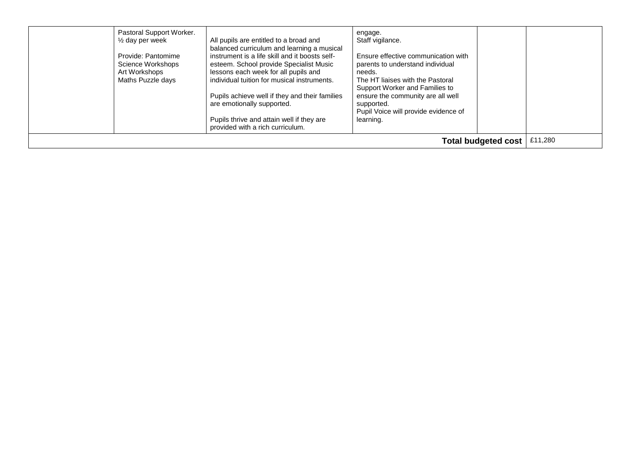| Pastoral Support Worker.<br>$\frac{1}{2}$ day per week<br>Provide: Pantomime<br>Science Workshops<br>Art Workshops<br>Maths Puzzle days | All pupils are entitled to a broad and<br>balanced curriculum and learning a musical<br>instrument is a life skill and it boosts self-<br>esteem. School provide Specialist Music<br>lessons each week for all pupils and<br>individual tuition for musical instruments.<br>Pupils achieve well if they and their families<br>are emotionally supported.<br>Pupils thrive and attain well if they are<br>provided with a rich curriculum. | engage.<br>Staff vigilance.<br>Ensure effective communication with<br>parents to understand individual<br>needs.<br>The HT liaises with the Pastoral<br>Support Worker and Families to<br>ensure the community are all well<br>supported.<br>Pupil Voice will provide evidence of<br>learning. |  |  |  |
|-----------------------------------------------------------------------------------------------------------------------------------------|-------------------------------------------------------------------------------------------------------------------------------------------------------------------------------------------------------------------------------------------------------------------------------------------------------------------------------------------------------------------------------------------------------------------------------------------|------------------------------------------------------------------------------------------------------------------------------------------------------------------------------------------------------------------------------------------------------------------------------------------------|--|--|--|
| Total budgeted cost                                                                                                                     |                                                                                                                                                                                                                                                                                                                                                                                                                                           |                                                                                                                                                                                                                                                                                                |  |  |  |